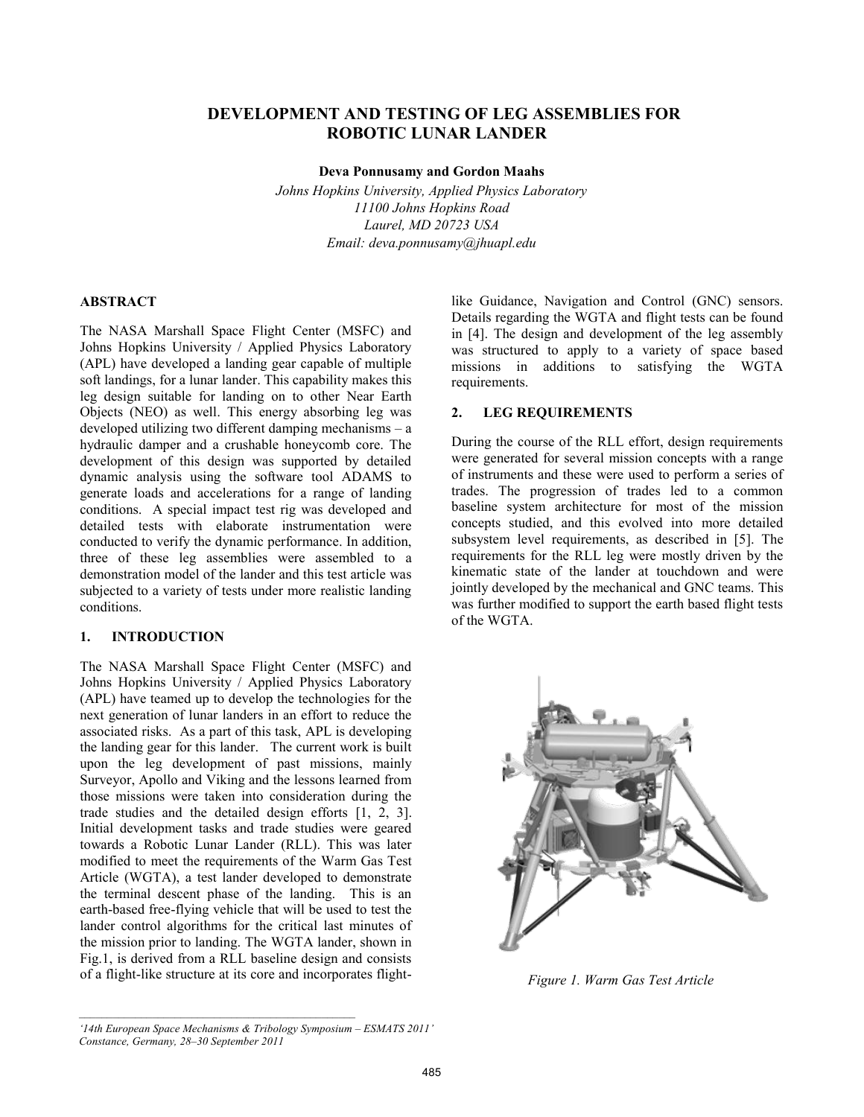# **DEVELOPMENT AND TESTING OF LEG ASSEMBLIES FOR ROBOTIC LUNAR LANDER**

**Deva Ponnusamy and Gordon Maahs** 

*Johns Hopkins University, Applied Physics Laboratory 11100 Johns Hopkins Road Laurel, MD 20723 USA Email: deva.ponnusamy@jhuapl.edu* 

### **ABSTRACT**

The NASA Marshall Space Flight Center (MSFC) and Johns Hopkins University / Applied Physics Laboratory (APL) have developed a landing gear capable of multiple soft landings, for a lunar lander. This capability makes this leg design suitable for landing on to other Near Earth Objects (NEO) as well. This energy absorbing leg was developed utilizing two different damping mechanisms – a hydraulic damper and a crushable honeycomb core. The development of this design was supported by detailed dynamic analysis using the software tool ADAMS to generate loads and accelerations for a range of landing conditions. A special impact test rig was developed and detailed tests with elaborate instrumentation were conducted to verify the dynamic performance. In addition, three of these leg assemblies were assembled to a demonstration model of the lander and this test article was subjected to a variety of tests under more realistic landing conditions.

#### **1. INTRODUCTION**

The NASA Marshall Space Flight Center (MSFC) and Johns Hopkins University / Applied Physics Laboratory (APL) have teamed up to develop the technologies for the next generation of lunar landers in an effort to reduce the associated risks. As a part of this task, APL is developing the landing gear for this lander. The current work is built upon the leg development of past missions, mainly Surveyor, Apollo and Viking and the lessons learned from those missions were taken into consideration during the trade studies and the detailed design efforts [1, 2, 3]. Initial development tasks and trade studies were geared towards a Robotic Lunar Lander (RLL). This was later modified to meet the requirements of the Warm Gas Test Article (WGTA), a test lander developed to demonstrate the terminal descent phase of the landing. This is an earth-based free-flying vehicle that will be used to test the lander control algorithms for the critical last minutes of the mission prior to landing. The WGTA lander, shown in Fig.1, is derived from a RLL baseline design and consists of a flight-like structure at its core and incorporates flight-

like Guidance, Navigation and Control (GNC) sensors. Details regarding the WGTA and flight tests can be found in [4]. The design and development of the leg assembly was structured to apply to a variety of space based missions in additions to satisfying the WGTA requirements.

### **2. LEG REQUIREMENTS**

During the course of the RLL effort, design requirements were generated for several mission concepts with a range of instruments and these were used to perform a series of trades. The progression of trades led to a common baseline system architecture for most of the mission concepts studied, and this evolved into more detailed subsystem level requirements, as described in [5]. The requirements for the RLL leg were mostly driven by the kinematic state of the lander at touchdown and were jointly developed by the mechanical and GNC teams. This was further modified to support the earth based flight tests of the WGTA.



*Figure 1. Warm Gas Test Article*

*<sup>&#</sup>x27;14th European Space Mechanisms & Tribology Symposium – ESMATS 2011' Constance, Germany, 28–30 September 2011*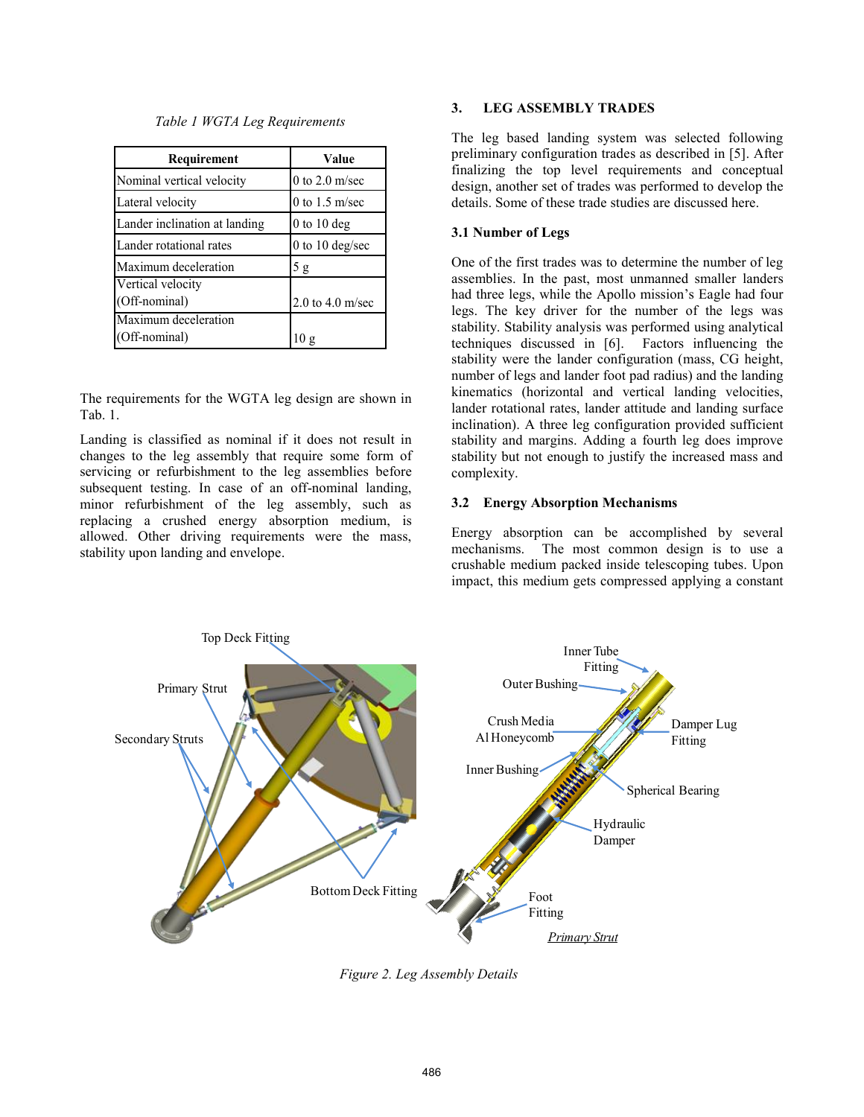| Table 1 WGTA Leg Requirements |  |
|-------------------------------|--|
|-------------------------------|--|

| Requirement                   | Value                |
|-------------------------------|----------------------|
| Nominal vertical velocity     | $0$ to $2.0$ m/sec   |
| Lateral velocity              | 0 to $1.5$ m/sec     |
| Lander inclination at landing | $0$ to 10 deg        |
| Lander rotational rates       | 0 to 10 deg/sec      |
| Maximum deceleration          | 5g                   |
| Vertical velocity             |                      |
| (Off-nominal)                 | $2.0$ to $4.0$ m/sec |
| Maximum deceleration          |                      |
| Off-nominal)                  | 10 g                 |

The requirements for the WGTA leg design are shown in Tab. 1.

Landing is classified as nominal if it does not result in changes to the leg assembly that require some form of servicing or refurbishment to the leg assemblies before subsequent testing. In case of an off-nominal landing, minor refurbishment of the leg assembly, such as replacing a crushed energy absorption medium, is allowed. Other driving requirements were the mass, stability upon landing and envelope.

### **3. LEG ASSEMBLY TRADES**

The leg based landing system was selected following preliminary configuration trades as described in [5]. After finalizing the top level requirements and conceptual design, another set of trades was performed to develop the details. Some of these trade studies are discussed here.

## **3.1 Number of Legs**

One of the first trades was to determine the number of leg assemblies. In the past, most unmanned smaller landers had three legs, while the Apollo mission's Eagle had four legs. The key driver for the number of the legs was stability. Stability analysis was performed using analytical techniques discussed in [6]. Factors influencing the stability were the lander configuration (mass, CG height, number of legs and lander foot pad radius) and the landing kinematics (horizontal and vertical landing velocities, lander rotational rates, lander attitude and landing surface inclination). A three leg configuration provided sufficient stability and margins. Adding a fourth leg does improve stability but not enough to justify the increased mass and complexity.

### **3.2 Energy Absorption Mechanisms**

Energy absorption can be accomplished by several mechanisms. The most common design is to use a crushable medium packed inside telescoping tubes. Upon impact, this medium gets compressed applying a constant



*Figure 2. Leg Assembly Details*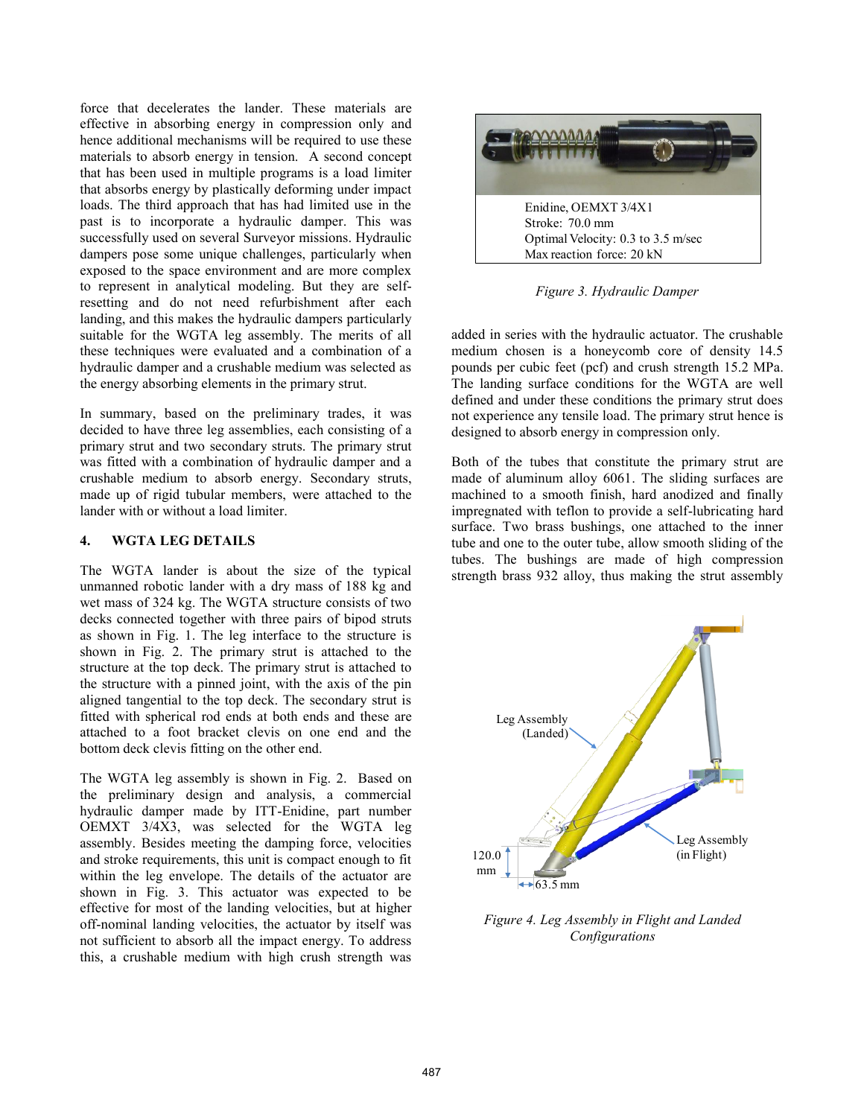force that decelerates the lander. These materials are effective in absorbing energy in compression only and hence additional mechanisms will be required to use these materials to absorb energy in tension. A second concept that has been used in multiple programs is a load limiter that absorbs energy by plastically deforming under impact loads. The third approach that has had limited use in the past is to incorporate a hydraulic damper. This was successfully used on several Surveyor missions. Hydraulic dampers pose some unique challenges, particularly when exposed to the space environment and are more complex to represent in analytical modeling. But they are selfresetting and do not need refurbishment after each landing, and this makes the hydraulic dampers particularly suitable for the WGTA leg assembly. The merits of all these techniques were evaluated and a combination of a hydraulic damper and a crushable medium was selected as the energy absorbing elements in the primary strut.

In summary, based on the preliminary trades, it was decided to have three leg assemblies, each consisting of a primary strut and two secondary struts. The primary strut was fitted with a combination of hydraulic damper and a crushable medium to absorb energy. Secondary struts, made up of rigid tubular members, were attached to the lander with or without a load limiter.

#### **4. WGTA LEG DETAILS**

The WGTA lander is about the size of the typical unmanned robotic lander with a dry mass of 188 kg and wet mass of 324 kg. The WGTA structure consists of two decks connected together with three pairs of bipod struts as shown in Fig. 1. The leg interface to the structure is shown in Fig. 2. The primary strut is attached to the structure at the top deck. The primary strut is attached to the structure with a pinned joint, with the axis of the pin aligned tangential to the top deck. The secondary strut is fitted with spherical rod ends at both ends and these are attached to a foot bracket clevis on one end and the bottom deck clevis fitting on the other end.

The WGTA leg assembly is shown in Fig. 2. Based on the preliminary design and analysis, a commercial hydraulic damper made by ITT-Enidine, part number OEMXT 3/4X3, was selected for the WGTA leg assembly. Besides meeting the damping force, velocities and stroke requirements, this unit is compact enough to fit within the leg envelope. The details of the actuator are shown in Fig. 3. This actuator was expected to be effective for most of the landing velocities, but at higher off-nominal landing velocities, the actuator by itself was not sufficient to absorb all the impact energy. To address this, a crushable medium with high crush strength was



*Figure 3. Hydraulic Damper*

added in series with the hydraulic actuator. The crushable medium chosen is a honeycomb core of density 14.5 pounds per cubic feet (pcf) and crush strength 15.2 MPa. The landing surface conditions for the WGTA are well defined and under these conditions the primary strut does not experience any tensile load. The primary strut hence is designed to absorb energy in compression only.

Both of the tubes that constitute the primary strut are made of aluminum alloy 6061. The sliding surfaces are machined to a smooth finish, hard anodized and finally impregnated with teflon to provide a self-lubricating hard surface. Two brass bushings, one attached to the inner tube and one to the outer tube, allow smooth sliding of the tubes. The bushings are made of high compression strength brass 932 alloy, thus making the strut assembly



*Figure 4. Leg Assembly in Flight and Landed Configurations*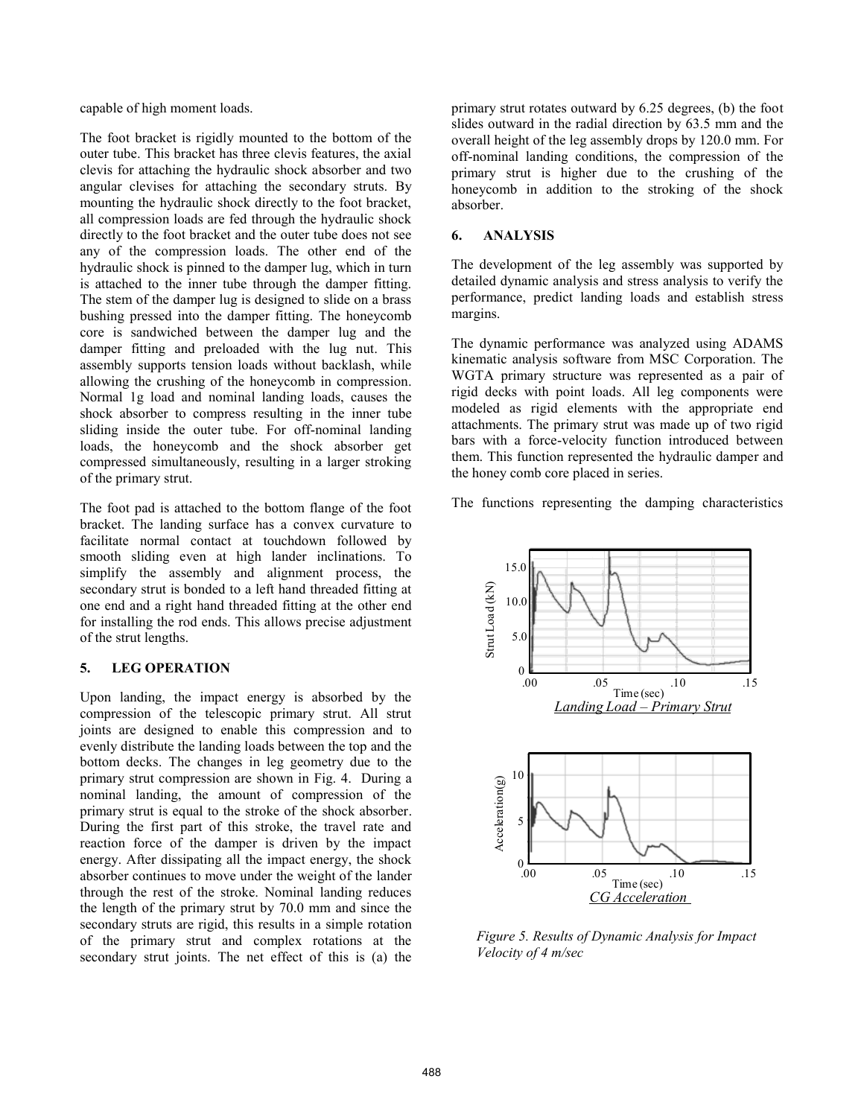capable of high moment loads.

The foot bracket is rigidly mounted to the bottom of the outer tube. This bracket has three clevis features, the axial clevis for attaching the hydraulic shock absorber and two angular clevises for attaching the secondary struts. By mounting the hydraulic shock directly to the foot bracket, all compression loads are fed through the hydraulic shock directly to the foot bracket and the outer tube does not see any of the compression loads. The other end of the hydraulic shock is pinned to the damper lug, which in turn is attached to the inner tube through the damper fitting. The stem of the damper lug is designed to slide on a brass bushing pressed into the damper fitting. The honeycomb core is sandwiched between the damper lug and the damper fitting and preloaded with the lug nut. This assembly supports tension loads without backlash, while allowing the crushing of the honeycomb in compression. Normal 1g load and nominal landing loads, causes the shock absorber to compress resulting in the inner tube sliding inside the outer tube. For off-nominal landing loads, the honeycomb and the shock absorber get compressed simultaneously, resulting in a larger stroking of the primary strut.

The foot pad is attached to the bottom flange of the foot bracket. The landing surface has a convex curvature to facilitate normal contact at touchdown followed by smooth sliding even at high lander inclinations. To simplify the assembly and alignment process, the secondary strut is bonded to a left hand threaded fitting at one end and a right hand threaded fitting at the other end for installing the rod ends. This allows precise adjustment of the strut lengths.

### **5. LEG OPERATION**

Upon landing, the impact energy is absorbed by the compression of the telescopic primary strut. All strut joints are designed to enable this compression and to evenly distribute the landing loads between the top and the bottom decks. The changes in leg geometry due to the primary strut compression are shown in Fig. 4. During a nominal landing, the amount of compression of the primary strut is equal to the stroke of the shock absorber. During the first part of this stroke, the travel rate and reaction force of the damper is driven by the impact energy. After dissipating all the impact energy, the shock absorber continues to move under the weight of the lander through the rest of the stroke. Nominal landing reduces the length of the primary strut by 70.0 mm and since the secondary struts are rigid, this results in a simple rotation of the primary strut and complex rotations at the secondary strut joints. The net effect of this is (a) the

primary strut rotates outward by 6.25 degrees, (b) the foot slides outward in the radial direction by 63.5 mm and the overall height of the leg assembly drops by 120.0 mm. For off-nominal landing conditions, the compression of the primary strut is higher due to the crushing of the honeycomb in addition to the stroking of the shock absorber.

#### **6. ANALYSIS**

The development of the leg assembly was supported by detailed dynamic analysis and stress analysis to verify the performance, predict landing loads and establish stress margins.

The dynamic performance was analyzed using ADAMS kinematic analysis software from MSC Corporation. The WGTA primary structure was represented as a pair of rigid decks with point loads. All leg components were modeled as rigid elements with the appropriate end attachments. The primary strut was made up of two rigid bars with a force-velocity function introduced between them. This function represented the hydraulic damper and the honey comb core placed in series.

The functions representing the damping characteristics



*Figure 5. Results of Dynamic Analysis for Impact Velocity of 4 m/sec*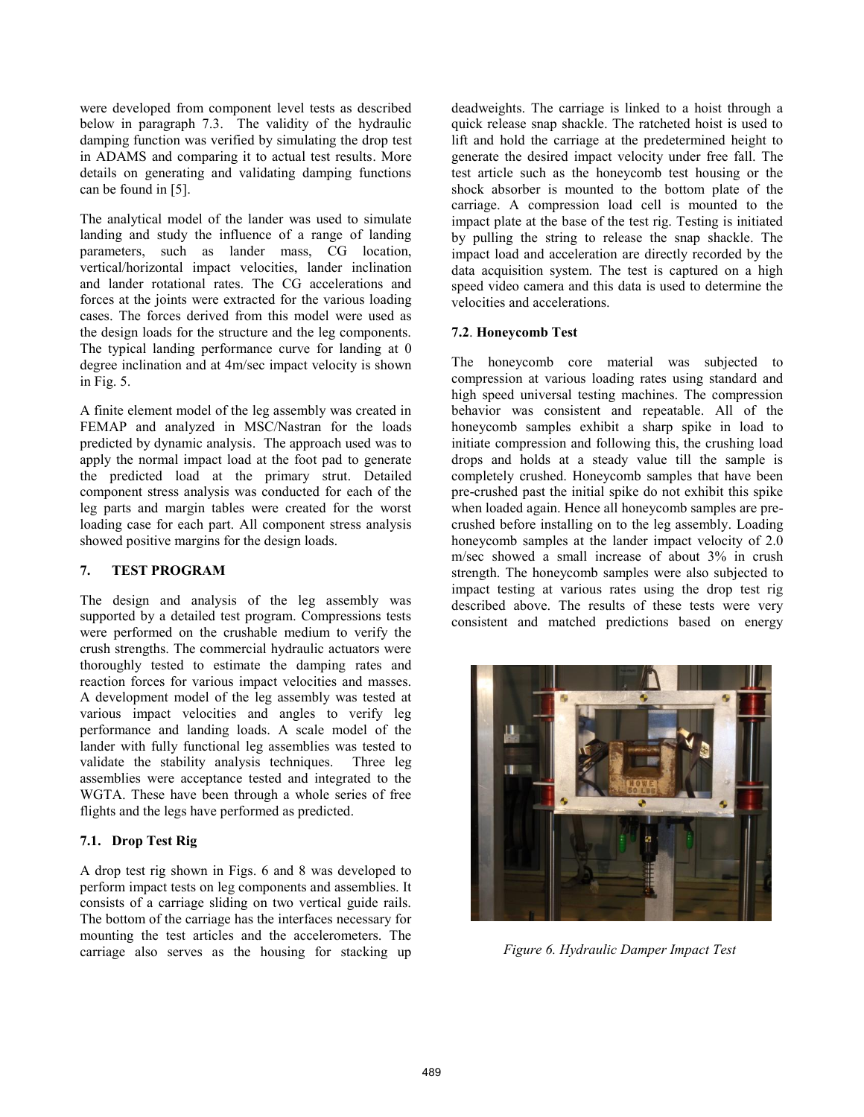were developed from component level tests as described below in paragraph 7.3. The validity of the hydraulic damping function was verified by simulating the drop test in ADAMS and comparing it to actual test results. More details on generating and validating damping functions can be found in [5].

The analytical model of the lander was used to simulate landing and study the influence of a range of landing parameters, such as lander mass, CG location, vertical/horizontal impact velocities, lander inclination and lander rotational rates. The CG accelerations and forces at the joints were extracted for the various loading cases. The forces derived from this model were used as the design loads for the structure and the leg components. The typical landing performance curve for landing at 0 degree inclination and at 4m/sec impact velocity is shown in Fig. 5.

A finite element model of the leg assembly was created in FEMAP and analyzed in MSC/Nastran for the loads predicted by dynamic analysis. The approach used was to apply the normal impact load at the foot pad to generate the predicted load at the primary strut. Detailed component stress analysis was conducted for each of the leg parts and margin tables were created for the worst loading case for each part. All component stress analysis showed positive margins for the design loads.

#### **7. TEST PROGRAM**

The design and analysis of the leg assembly was supported by a detailed test program. Compressions tests were performed on the crushable medium to verify the crush strengths. The commercial hydraulic actuators were thoroughly tested to estimate the damping rates and reaction forces for various impact velocities and masses. A development model of the leg assembly was tested at various impact velocities and angles to verify leg performance and landing loads. A scale model of the lander with fully functional leg assemblies was tested to validate the stability analysis techniques. Three leg assemblies were acceptance tested and integrated to the WGTA. These have been through a whole series of free flights and the legs have performed as predicted.

### **7.1. Drop Test Rig**

A drop test rig shown in Figs. 6 and 8 was developed to perform impact tests on leg components and assemblies. It consists of a carriage sliding on two vertical guide rails. The bottom of the carriage has the interfaces necessary for mounting the test articles and the accelerometers. The carriage also serves as the housing for stacking up

deadweights. The carriage is linked to a hoist through a quick release snap shackle. The ratcheted hoist is used to lift and hold the carriage at the predetermined height to generate the desired impact velocity under free fall. The test article such as the honeycomb test housing or the shock absorber is mounted to the bottom plate of the carriage. A compression load cell is mounted to the impact plate at the base of the test rig. Testing is initiated by pulling the string to release the snap shackle. The impact load and acceleration are directly recorded by the data acquisition system. The test is captured on a high speed video camera and this data is used to determine the velocities and accelerations.

### **7.2**. **Honeycomb Test**

The honeycomb core material was subjected to compression at various loading rates using standard and high speed universal testing machines. The compression behavior was consistent and repeatable. All of the honeycomb samples exhibit a sharp spike in load to initiate compression and following this, the crushing load drops and holds at a steady value till the sample is completely crushed. Honeycomb samples that have been pre-crushed past the initial spike do not exhibit this spike when loaded again. Hence all honeycomb samples are precrushed before installing on to the leg assembly. Loading honeycomb samples at the lander impact velocity of 2.0 m/sec showed a small increase of about 3% in crush strength. The honeycomb samples were also subjected to impact testing at various rates using the drop test rig described above. The results of these tests were very consistent and matched predictions based on energy



*Figure 6. Hydraulic Damper Impact Test*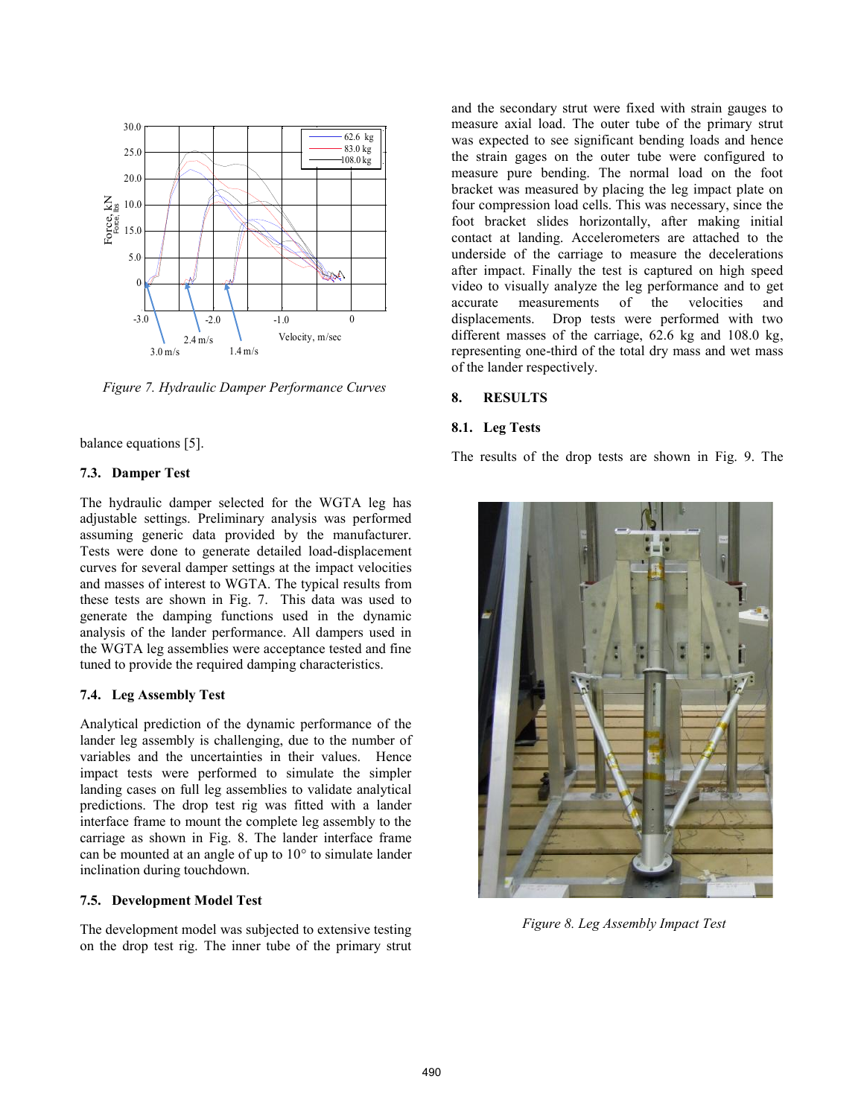

*Figure 7. Hydraulic Damper Performance Curves*

balance equations [5].

### **7.3. Damper Test**

The hydraulic damper selected for the WGTA leg has adjustable settings. Preliminary analysis was performed assuming generic data provided by the manufacturer. Tests were done to generate detailed load-displacement curves for several damper settings at the impact velocities and masses of interest to WGTA. The typical results from these tests are shown in Fig. 7. This data was used to generate the damping functions used in the dynamic analysis of the lander performance. All dampers used in the WGTA leg assemblies were acceptance tested and fine tuned to provide the required damping characteristics.

#### **7.4. Leg Assembly Test**

Analytical prediction of the dynamic performance of the lander leg assembly is challenging, due to the number of variables and the uncertainties in their values. Hence impact tests were performed to simulate the simpler landing cases on full leg assemblies to validate analytical predictions. The drop test rig was fitted with a lander interface frame to mount the complete leg assembly to the carriage as shown in Fig. 8. The lander interface frame can be mounted at an angle of up to 10° to simulate lander inclination during touchdown.

#### **7.5. Development Model Test**

The development model was subjected to extensive testing on the drop test rig. The inner tube of the primary strut

and the secondary strut were fixed with strain gauges to measure axial load. The outer tube of the primary strut was expected to see significant bending loads and hence the strain gages on the outer tube were configured to measure pure bending. The normal load on the foot bracket was measured by placing the leg impact plate on four compression load cells. This was necessary, since the foot bracket slides horizontally, after making initial contact at landing. Accelerometers are attached to the underside of the carriage to measure the decelerations after impact. Finally the test is captured on high speed video to visually analyze the leg performance and to get accurate measurements of the velocities and displacements. Drop tests were performed with two different masses of the carriage, 62.6 kg and 108.0 kg, representing one-third of the total dry mass and wet mass of the lander respectively.

#### **8. RESULTS**

#### **8.1. Leg Tests**

The results of the drop tests are shown in Fig. 9. The



*Figure 8. Leg Assembly Impact Test*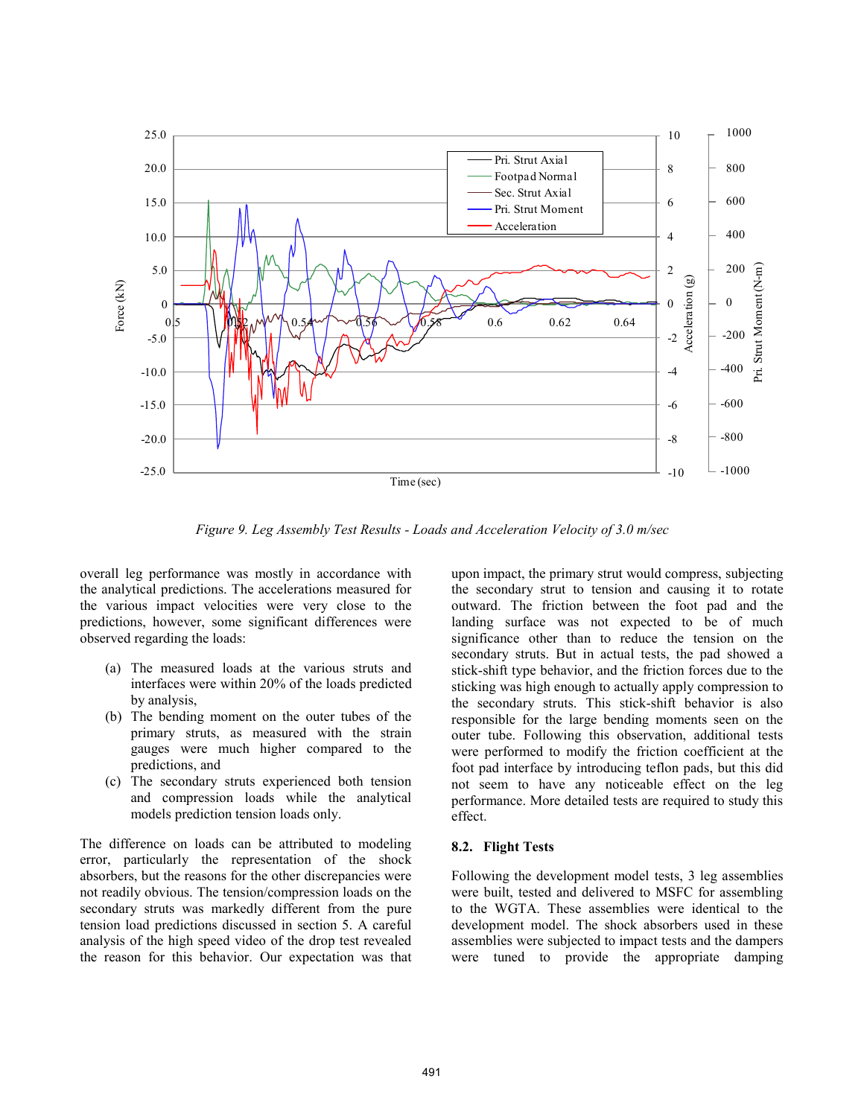

*Figure 9. Leg Assembly Test Results - Loads and Acceleration Velocity of 3.0 m/sec*

overall leg performance was mostly in accordance with the analytical predictions. The accelerations measured for the various impact velocities were very close to the predictions, however, some significant differences were observed regarding the loads:

- (a) The measured loads at the various struts and interfaces were within 20% of the loads predicted by analysis,
- (b) The bending moment on the outer tubes of the primary struts, as measured with the strain gauges were much higher compared to the predictions, and
- (c) The secondary struts experienced both tension and compression loads while the analytical models prediction tension loads only.

The difference on loads can be attributed to modeling error, particularly the representation of the shock absorbers, but the reasons for the other discrepancies were not readily obvious. The tension/compression loads on the secondary struts was markedly different from the pure tension load predictions discussed in section 5. A careful analysis of the high speed video of the drop test revealed the reason for this behavior. Our expectation was that

upon impact, the primary strut would compress, subjecting the secondary strut to tension and causing it to rotate outward. The friction between the foot pad and the landing surface was not expected to be of much significance other than to reduce the tension on the secondary struts. But in actual tests, the pad showed a stick-shift type behavior, and the friction forces due to the sticking was high enough to actually apply compression to the secondary struts. This stick-shift behavior is also responsible for the large bending moments seen on the outer tube. Following this observation, additional tests were performed to modify the friction coefficient at the foot pad interface by introducing teflon pads, but this did not seem to have any noticeable effect on the leg performance. More detailed tests are required to study this effect.

### **8.2. Flight Tests**

Following the development model tests, 3 leg assemblies were built, tested and delivered to MSFC for assembling to the WGTA. These assemblies were identical to the development model. The shock absorbers used in these assemblies were subjected to impact tests and the dampers were tuned to provide the appropriate damping